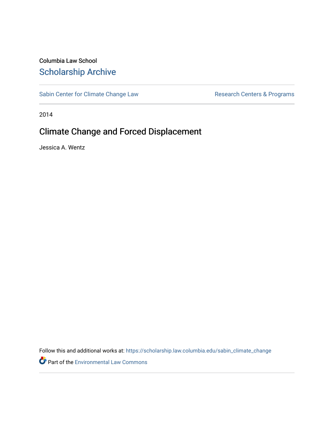## Columbia Law School [Scholarship Archive](https://scholarship.law.columbia.edu/)

[Sabin Center for Climate Change Law](https://scholarship.law.columbia.edu/sabin_climate_change) Research Centers & Programs

2014

## Climate Change and Forced Displacement

Jessica A. Wentz

Follow this and additional works at: [https://scholarship.law.columbia.edu/sabin\\_climate\\_change](https://scholarship.law.columbia.edu/sabin_climate_change?utm_source=scholarship.law.columbia.edu%2Fsabin_climate_change%2F137&utm_medium=PDF&utm_campaign=PDFCoverPages) 

**P** Part of the [Environmental Law Commons](http://network.bepress.com/hgg/discipline/599?utm_source=scholarship.law.columbia.edu%2Fsabin_climate_change%2F137&utm_medium=PDF&utm_campaign=PDFCoverPages)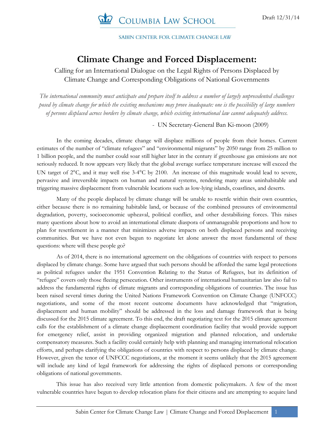

SABIN CENTER FOR CLIMATE CHANGE LAW

## **Climate Change and Forced Displacement:**

Calling for an International Dialogue on the Legal Rights of Persons Displaced by Climate Change and Corresponding Obligations of National Governments

*The international community must anticipate and prepare itself to address a number of largely unprecedented challenges posed by climate change for which the existing mechanisms may prove inadequate: one is the possibility of large numbers of persons displaced across borders by climate change, which existing international law cannot adequately address.*

- UN Secretary-General Ban Ki-moon (2009)

In the coming decades, climate change will displace millions of people from their homes. Current estimates of the number of "climate refugees" and "environmental migrants" by 2050 range from 25 million to 1 billion people, and the number could soar still higher later in the century if greenhouse gas emissions are not seriously reduced. It now appears very likely that the global average surface temperature increase will exceed the UN target of 2°C, and it may well rise 3-4°C by 2100. An increase of this magnitude would lead to severe, pervasive and irreversible impacts on human and natural systems, rendering many areas uninhabitable and triggering massive displacement from vulnerable locations such as low-lying islands, coastlines, and deserts.

Many of the people displaced by climate change will be unable to resettle within their own countries, either because there is no remaining habitable land, or because of the combined pressures of environmental degradation, poverty, socioeconomic upheaval, political conflict, and other destabilizing forces. This raises many questions about how to avoid an international climate diaspora of unmanageable proportions and how to plan for resettlement in a manner that minimizes adverse impacts on both displaced persons and receiving communities. But we have not even begun to negotiate let alone answer the most fundamental of these questions: where will these people go?

As of 2014, there is no international agreement on the obligations of countries with respect to persons displaced by climate change. Some have argued that such persons should be afforded the same legal protections as political refugees under the 1951 Convention Relating to the Status of Refugees, but its definition of "refugee" covers only those fleeing persecution. Other instruments of international humanitarian law also fail to address the fundamental rights of climate migrants and corresponding obligations of countries. The issue has been raised several times during the United Nations Framework Convention on Climate Change (UNFCCC) negotiations, and some of the most recent outcome documents have acknowledged that "migration, displacement and human mobility" should be addressed in the loss and damage framework that is being discussed for the 2015 climate agreement. To this end, the draft negotiating text for the 2015 climate agreement calls for the establishment of a climate change displacement coordination facility that would provide support for emergency relief, assist in providing organized migration and planned relocation, and undertake compensatory measures. Such a facility could certainly help with planning and managing international relocation efforts, and perhaps clarifying the obligations of countries with respect to persons displaced by climate change. However, given the tenor of UNFCCC negotiations, at the moment it seems unlikely that the 2015 agreement will include any kind of legal framework for addressing the rights of displaced persons or corresponding obligations of national governments.

This issue has also received very little attention from domestic policymakers. A few of the most vulnerable countries have begun to develop relocation plans for their citizens and are attempting to acquire land